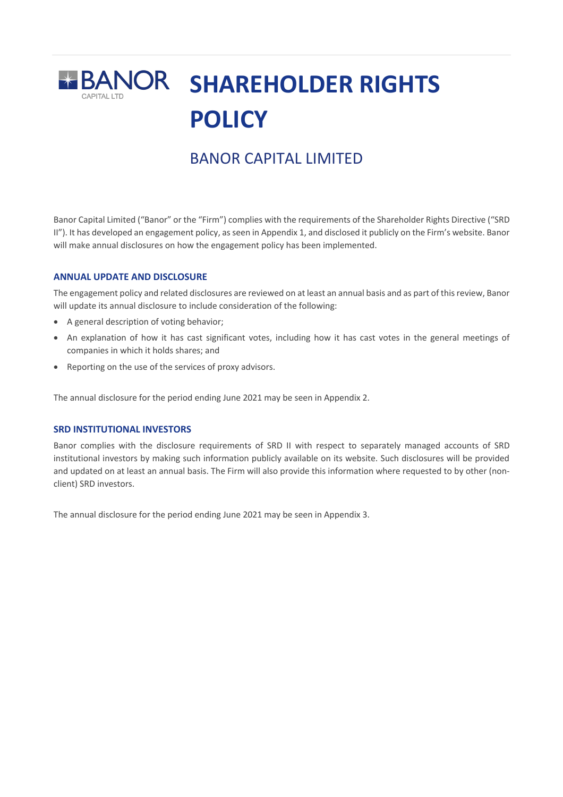

# BANOR CAPITAL LIMITED

Banor Capital Limited ("Banor" or the "Firm") complies with the requirements of the Shareholder Rights Directive ("SRD II"). It has developed an engagement policy, as seen in Appendix 1, and disclosed it publicly on the Firm's website. Banor will make annual disclosures on how the engagement policy has been implemented.

#### **ANNUAL UPDATE AND DISCLOSURE**

The engagement policy and related disclosures are reviewed on at least an annual basis and as part of this review, Banor will update its annual disclosure to include consideration of the following:

- A general description of voting behavior;
- An explanation of how it has cast significant votes, including how it has cast votes in the general meetings of companies in which it holds shares; and
- Reporting on the use of the services of proxy advisors.

The annual disclosure for the period ending June 2021 may be seen in Appendix 2.

#### **SRD INSTITUTIONAL INVESTORS**

Banor complies with the disclosure requirements of SRD II with respect to separately managed accounts of SRD institutional investors by making such information publicly available on its website. Such disclosures will be provided and updated on at least an annual basis. The Firm will also provide this information where requested to by other (nonclient) SRD investors.

The annual disclosure for the period ending June 2021 may be seen in Appendix 3.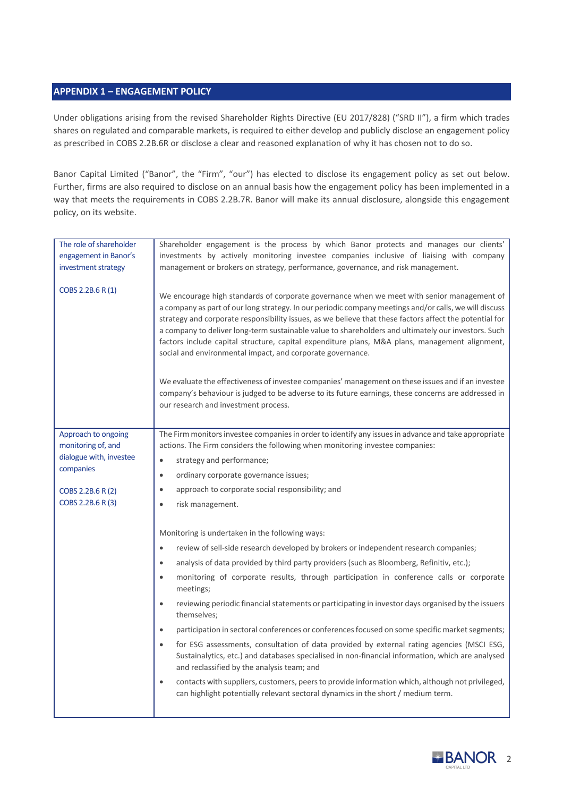### **APPENDIX 1 – ENGAGEMENT POLICY**

Under obligations arising from the revised Shareholder Rights Directive (EU 2017/828) ("SRD II"), a firm which trades shares on regulated and comparable markets, is required to either develop and publicly disclose an engagement policy as prescribed in COBS 2.2B.6R or disclose a clear and reasoned explanation of why it has chosen not to do so.

Banor Capital Limited ("Banor", the "Firm", "our") has elected to disclose its engagement policy as set out below. Further, firms are also required to disclose on an annual basis how the engagement policy has been implemented in a way that meets the requirements in COBS 2.2B.7R. Banor will make its annual disclosure, alongside this engagement policy, on its website.

| The role of shareholder<br>engagement in Banor's<br>investment strategy<br>COBS 2.2B.6 R (1) | Shareholder engagement is the process by which Banor protects and manages our clients'<br>investments by actively monitoring investee companies inclusive of liaising with company<br>management or brokers on strategy, performance, governance, and risk management.<br>We encourage high standards of corporate governance when we meet with senior management of<br>a company as part of our long strategy. In our periodic company meetings and/or calls, we will discuss<br>strategy and corporate responsibility issues, as we believe that these factors affect the potential for<br>a company to deliver long-term sustainable value to shareholders and ultimately our investors. Such<br>factors include capital structure, capital expenditure plans, M&A plans, management alignment, |
|----------------------------------------------------------------------------------------------|----------------------------------------------------------------------------------------------------------------------------------------------------------------------------------------------------------------------------------------------------------------------------------------------------------------------------------------------------------------------------------------------------------------------------------------------------------------------------------------------------------------------------------------------------------------------------------------------------------------------------------------------------------------------------------------------------------------------------------------------------------------------------------------------------|
|                                                                                              | social and environmental impact, and corporate governance.<br>We evaluate the effectiveness of investee companies' management on these issues and if an investee<br>company's behaviour is judged to be adverse to its future earnings, these concerns are addressed in<br>our research and investment process.                                                                                                                                                                                                                                                                                                                                                                                                                                                                                    |
| Approach to ongoing<br>monitoring of, and                                                    | The Firm monitors investee companies in order to identify any issues in advance and take appropriate<br>actions. The Firm considers the following when monitoring investee companies:                                                                                                                                                                                                                                                                                                                                                                                                                                                                                                                                                                                                              |
| dialogue with, investee                                                                      | strategy and performance;<br>$\bullet$                                                                                                                                                                                                                                                                                                                                                                                                                                                                                                                                                                                                                                                                                                                                                             |
| companies                                                                                    | ordinary corporate governance issues;<br>$\bullet$                                                                                                                                                                                                                                                                                                                                                                                                                                                                                                                                                                                                                                                                                                                                                 |
| COBS 2.2B.6 R (2)                                                                            | approach to corporate social responsibility; and<br>$\bullet$                                                                                                                                                                                                                                                                                                                                                                                                                                                                                                                                                                                                                                                                                                                                      |
| COBS 2.2B.6 R (3)                                                                            | risk management.<br>$\bullet$                                                                                                                                                                                                                                                                                                                                                                                                                                                                                                                                                                                                                                                                                                                                                                      |
|                                                                                              |                                                                                                                                                                                                                                                                                                                                                                                                                                                                                                                                                                                                                                                                                                                                                                                                    |
|                                                                                              | Monitoring is undertaken in the following ways:                                                                                                                                                                                                                                                                                                                                                                                                                                                                                                                                                                                                                                                                                                                                                    |
|                                                                                              | review of sell-side research developed by brokers or independent research companies;<br>$\bullet$                                                                                                                                                                                                                                                                                                                                                                                                                                                                                                                                                                                                                                                                                                  |
|                                                                                              | analysis of data provided by third party providers (such as Bloomberg, Refinitiv, etc.);<br>$\bullet$                                                                                                                                                                                                                                                                                                                                                                                                                                                                                                                                                                                                                                                                                              |
|                                                                                              | monitoring of corporate results, through participation in conference calls or corporate<br>$\bullet$<br>meetings;                                                                                                                                                                                                                                                                                                                                                                                                                                                                                                                                                                                                                                                                                  |
|                                                                                              | reviewing periodic financial statements or participating in investor days organised by the issuers<br>$\bullet$<br>themselves;                                                                                                                                                                                                                                                                                                                                                                                                                                                                                                                                                                                                                                                                     |
|                                                                                              | participation in sectoral conferences or conferences focused on some specific market segments;<br>$\bullet$                                                                                                                                                                                                                                                                                                                                                                                                                                                                                                                                                                                                                                                                                        |
|                                                                                              | for ESG assessments, consultation of data provided by external rating agencies (MSCI ESG,<br>$\bullet$<br>Sustainalytics, etc.) and databases specialised in non-financial information, which are analysed<br>and reclassified by the analysis team; and                                                                                                                                                                                                                                                                                                                                                                                                                                                                                                                                           |
|                                                                                              | contacts with suppliers, customers, peers to provide information which, although not privileged,<br>$\bullet$<br>can highlight potentially relevant sectoral dynamics in the short / medium term.                                                                                                                                                                                                                                                                                                                                                                                                                                                                                                                                                                                                  |
|                                                                                              |                                                                                                                                                                                                                                                                                                                                                                                                                                                                                                                                                                                                                                                                                                                                                                                                    |

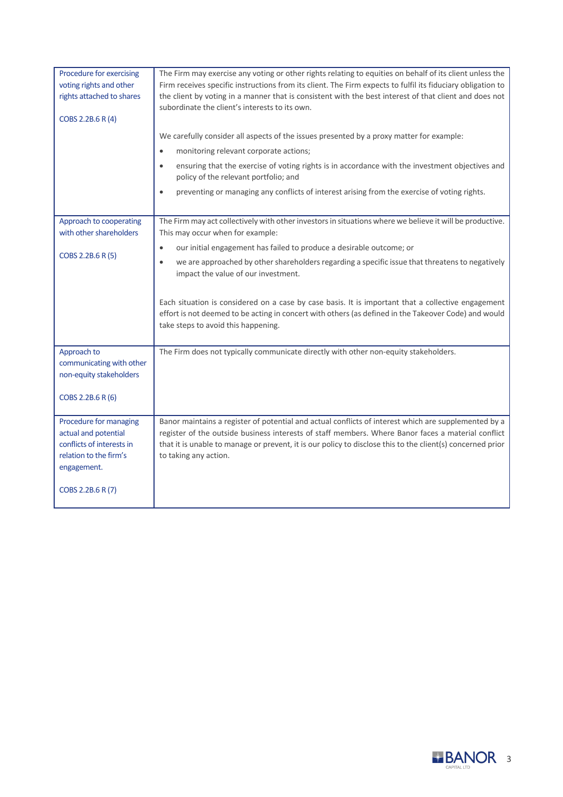| Procedure for exercising<br>voting rights and other<br>rights attached to shares<br>COBS 2.2B.6 R (4)                                     | The Firm may exercise any voting or other rights relating to equities on behalf of its client unless the<br>Firm receives specific instructions from its client. The Firm expects to fulfil its fiduciary obligation to<br>the client by voting in a manner that is consistent with the best interest of that client and does not<br>subordinate the client's interests to its own.<br>We carefully consider all aspects of the issues presented by a proxy matter for example:<br>monitoring relevant corporate actions;<br>$\bullet$<br>ensuring that the exercise of voting rights is in accordance with the investment objectives and<br>$\bullet$<br>policy of the relevant portfolio; and<br>preventing or managing any conflicts of interest arising from the exercise of voting rights.<br>$\bullet$ |
|-------------------------------------------------------------------------------------------------------------------------------------------|--------------------------------------------------------------------------------------------------------------------------------------------------------------------------------------------------------------------------------------------------------------------------------------------------------------------------------------------------------------------------------------------------------------------------------------------------------------------------------------------------------------------------------------------------------------------------------------------------------------------------------------------------------------------------------------------------------------------------------------------------------------------------------------------------------------|
| Approach to cooperating<br>with other shareholders<br>COBS 2.2B.6 R (5)                                                                   | The Firm may act collectively with other investors in situations where we believe it will be productive.<br>This may occur when for example:<br>our initial engagement has failed to produce a desirable outcome; or<br>$\bullet$<br>we are approached by other shareholders regarding a specific issue that threatens to negatively<br>$\bullet$<br>impact the value of our investment.<br>Each situation is considered on a case by case basis. It is important that a collective engagement<br>effort is not deemed to be acting in concert with others (as defined in the Takeover Code) and would<br>take steps to avoid this happening.                                                                                                                                                                |
| Approach to<br>communicating with other<br>non-equity stakeholders<br>COBS 2.2B.6 R (6)                                                   | The Firm does not typically communicate directly with other non-equity stakeholders.                                                                                                                                                                                                                                                                                                                                                                                                                                                                                                                                                                                                                                                                                                                         |
| Procedure for managing<br>actual and potential<br>conflicts of interests in<br>relation to the firm's<br>engagement.<br>COBS 2.2B.6 R (7) | Banor maintains a register of potential and actual conflicts of interest which are supplemented by a<br>register of the outside business interests of staff members. Where Banor faces a material conflict<br>that it is unable to manage or prevent, it is our policy to disclose this to the client(s) concerned prior<br>to taking any action.                                                                                                                                                                                                                                                                                                                                                                                                                                                            |

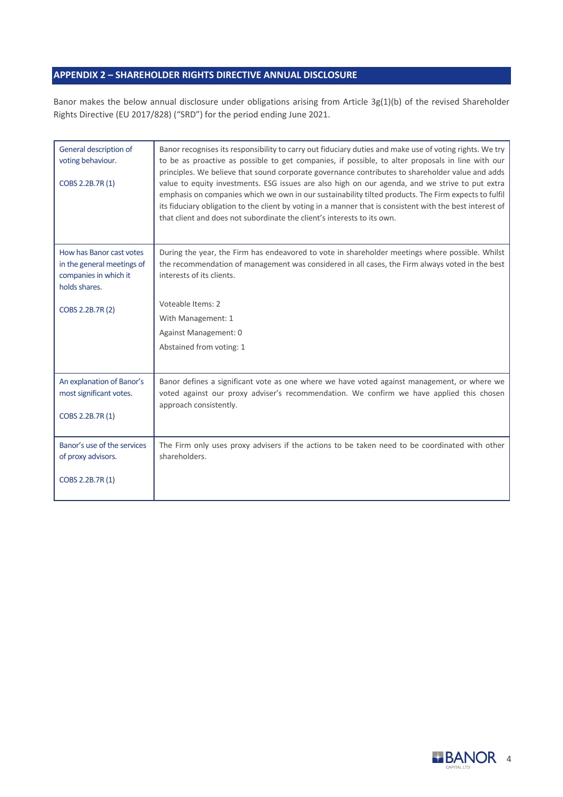# **APPENDIX 2 – SHAREHOLDER RIGHTS DIRECTIVE ANNUAL DISCLOSURE**

Banor makes the below annual disclosure under obligations arising from Article 3g(1)(b) of the revised Shareholder Rights Directive (EU 2017/828) ("SRD") for the period ending June 2021.

| General description of<br>voting behaviour.<br>COBS 2.2B.7R (1)                                  | Banor recognises its responsibility to carry out fiduciary duties and make use of voting rights. We try<br>to be as proactive as possible to get companies, if possible, to alter proposals in line with our<br>principles. We believe that sound corporate governance contributes to shareholder value and adds<br>value to equity investments. ESG issues are also high on our agenda, and we strive to put extra<br>emphasis on companies which we own in our sustainability tilted products. The Firm expects to fulfil<br>its fiduciary obligation to the client by voting in a manner that is consistent with the best interest of<br>that client and does not subordinate the client's interests to its own. |
|--------------------------------------------------------------------------------------------------|---------------------------------------------------------------------------------------------------------------------------------------------------------------------------------------------------------------------------------------------------------------------------------------------------------------------------------------------------------------------------------------------------------------------------------------------------------------------------------------------------------------------------------------------------------------------------------------------------------------------------------------------------------------------------------------------------------------------|
| How has Banor cast votes<br>in the general meetings of<br>companies in which it<br>holds shares. | During the year, the Firm has endeavored to vote in shareholder meetings where possible. Whilst<br>the recommendation of management was considered in all cases, the Firm always voted in the best<br>interests of its clients.                                                                                                                                                                                                                                                                                                                                                                                                                                                                                     |
| COBS 2.2B.7R (2)                                                                                 | Voteable Items: 2<br>With Management: 1<br>Against Management: 0<br>Abstained from voting: 1                                                                                                                                                                                                                                                                                                                                                                                                                                                                                                                                                                                                                        |
| An explanation of Banor's<br>most significant votes.<br>COBS 2.2B.7R (1)                         | Banor defines a significant vote as one where we have voted against management, or where we<br>voted against our proxy adviser's recommendation. We confirm we have applied this chosen<br>approach consistently.                                                                                                                                                                                                                                                                                                                                                                                                                                                                                                   |
| Banor's use of the services<br>of proxy advisors.<br>COBS 2.2B.7R (1)                            | The Firm only uses proxy advisers if the actions to be taken need to be coordinated with other<br>shareholders.                                                                                                                                                                                                                                                                                                                                                                                                                                                                                                                                                                                                     |

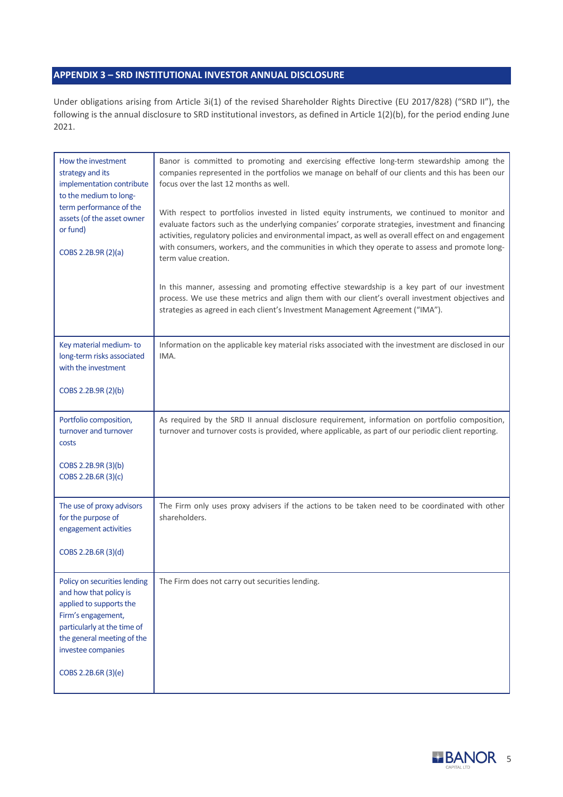# **APPENDIX 3 – SRD INSTITUTIONAL INVESTOR ANNUAL DISCLOSURE**

Under obligations arising from Article 3i(1) of the revised Shareholder Rights Directive (EU 2017/828) ("SRD II"), the following is the annual disclosure to SRD institutional investors, as defined in Article 1(2)(b), for the period ending June 2021.

| How the investment<br>strategy and its<br>implementation contribute<br>to the medium to long-<br>term performance of the<br>assets (of the asset owner<br>or fund)<br>COBS 2.2B.9R (2)(a)                         | Banor is committed to promoting and exercising effective long-term stewardship among the<br>companies represented in the portfolios we manage on behalf of our clients and this has been our<br>focus over the last 12 months as well.<br>With respect to portfolios invested in listed equity instruments, we continued to monitor and<br>evaluate factors such as the underlying companies' corporate strategies, investment and financing<br>activities, regulatory policies and environmental impact, as well as overall effect on and engagement<br>with consumers, workers, and the communities in which they operate to assess and promote long-<br>term value creation.<br>In this manner, assessing and promoting effective stewardship is a key part of our investment<br>process. We use these metrics and align them with our client's overall investment objectives and<br>strategies as agreed in each client's Investment Management Agreement ("IMA"). |
|-------------------------------------------------------------------------------------------------------------------------------------------------------------------------------------------------------------------|------------------------------------------------------------------------------------------------------------------------------------------------------------------------------------------------------------------------------------------------------------------------------------------------------------------------------------------------------------------------------------------------------------------------------------------------------------------------------------------------------------------------------------------------------------------------------------------------------------------------------------------------------------------------------------------------------------------------------------------------------------------------------------------------------------------------------------------------------------------------------------------------------------------------------------------------------------------------|
| Key material medium-to<br>long-term risks associated<br>with the investment<br>COBS 2.2B.9R (2)(b)                                                                                                                | Information on the applicable key material risks associated with the investment are disclosed in our<br>IMA.                                                                                                                                                                                                                                                                                                                                                                                                                                                                                                                                                                                                                                                                                                                                                                                                                                                           |
| Portfolio composition,<br>turnover and turnover<br>costs<br>COBS 2.2B.9R (3)(b)<br>COBS 2.2B.6R (3)(c)                                                                                                            | As required by the SRD II annual disclosure requirement, information on portfolio composition,<br>turnover and turnover costs is provided, where applicable, as part of our periodic client reporting.                                                                                                                                                                                                                                                                                                                                                                                                                                                                                                                                                                                                                                                                                                                                                                 |
| The use of proxy advisors<br>for the purpose of<br>engagement activities<br>COBS 2.2B.6R (3)(d)                                                                                                                   | The Firm only uses proxy advisers if the actions to be taken need to be coordinated with other<br>shareholders.                                                                                                                                                                                                                                                                                                                                                                                                                                                                                                                                                                                                                                                                                                                                                                                                                                                        |
| Policy on securities lending<br>and how that policy is<br>applied to supports the<br>Firm's engagement,<br>particularly at the time of<br>the general meeting of the<br>investee companies<br>COBS 2.2B.6R (3)(e) | The Firm does not carry out securities lending.                                                                                                                                                                                                                                                                                                                                                                                                                                                                                                                                                                                                                                                                                                                                                                                                                                                                                                                        |